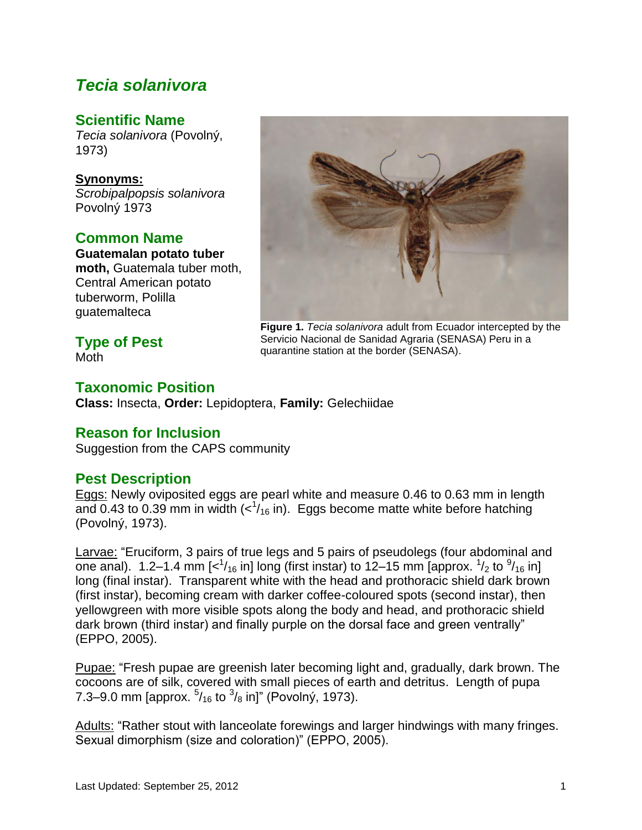# *Tecia solanivora*

## **Scientific Name**

*Tecia solanivora* (Povolný, 1973)

**Synonyms:** *Scrobipalpopsis solanivora* Povolný 1973

## **Common Name**

**Guatemalan potato tuber moth,** Guatemala tuber moth, Central American potato tuberworm, Polilla guatemalteca

# **Type of Pest**

Moth



**Figure 1.** *Tecia solanivora* adult from Ecuador intercepted by the Servicio Nacional de Sanidad Agraria (SENASA) Peru in a quarantine station at the border (SENASA).

## **Taxonomic Position**

**Class:** Insecta, **Order:** Lepidoptera, **Family:** Gelechiidae

## **Reason for Inclusion**

Suggestion from the CAPS community

## **Pest Description**

Eggs: Newly oviposited eggs are pearl white and measure 0.46 to 0.63 mm in length and 0.43 to 0.39 mm in width  $\langle$ - $\frac{1}{16}$  in). Eggs become matte white before hatching (Povolný, 1973).

Larvae: "Eruciform, 3 pairs of true legs and 5 pairs of pseudolegs (four abdominal and one anal). 1.2–1.4 mm [ $<sup>1</sup>/<sub>16</sub>$  in] long (first instar) to 12–15 mm [approx.  $<sup>1</sup>/<sub>2</sub>$  to  $<sup>9</sup>/<sub>16</sub>$  in]</sup></sup></sup> long (final instar). Transparent white with the head and prothoracic shield dark brown (first instar), becoming cream with darker coffee-coloured spots (second instar), then yellowgreen with more visible spots along the body and head, and prothoracic shield dark brown (third instar) and finally purple on the dorsal face and green ventrally" (EPPO, 2005).

Pupae: "Fresh pupae are greenish later becoming light and, gradually, dark brown. The cocoons are of silk, covered with small pieces of earth and detritus. Length of pupa 7.3–9.0 mm [approx.  $5/16$  to  $3/8$  in]" (Povolný, 1973).

Adults: "Rather stout with lanceolate forewings and larger hindwings with many fringes. Sexual dimorphism (size and coloration)" (EPPO, 2005).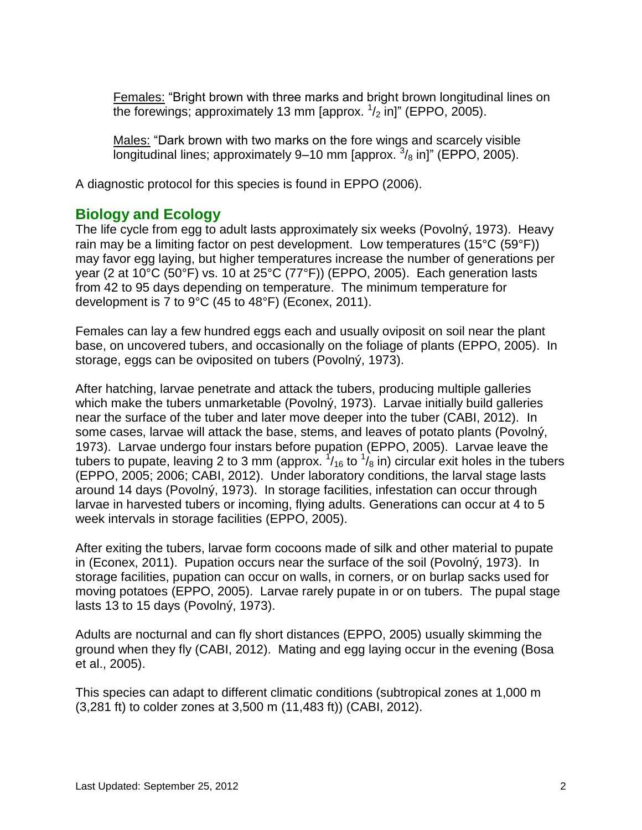Females: "Bright brown with three marks and bright brown longitudinal lines on the forewings; approximately 13 mm [approx.  $\frac{1}{2}$  in]" (EPPO, 2005).

Males: "Dark brown with two marks on the fore wings and scarcely visible longitudinal lines; approximately 9–10 mm [approx.  $3/8$  in]" (EPPO, 2005).

A diagnostic protocol for this species is found in EPPO (2006).

## **Biology and Ecology**

The life cycle from egg to adult lasts approximately six weeks (Povolný, 1973). Heavy rain may be a limiting factor on pest development. Low temperatures (15°C (59°F)) may favor egg laying, but higher temperatures increase the number of generations per year (2 at 10°C (50°F) vs. 10 at 25°C (77°F)) (EPPO, 2005). Each generation lasts from 42 to 95 days depending on temperature. The minimum temperature for development is 7 to 9°C (45 to 48°F) (Econex, 2011).

Females can lay a few hundred eggs each and usually oviposit on soil near the plant base, on uncovered tubers, and occasionally on the foliage of plants (EPPO, 2005). In storage, eggs can be oviposited on tubers (Povolný, 1973).

After hatching, larvae penetrate and attack the tubers, producing multiple galleries which make the tubers unmarketable (Povolný, 1973). Larvae initially build galleries near the surface of the tuber and later move deeper into the tuber (CABI, 2012). In some cases, larvae will attack the base, stems, and leaves of potato plants (Povolný, 1973). Larvae undergo four instars before pupation (EPPO, 2005). Larvae leave the tubers to pupate, leaving 2 to 3 mm (approx.  $\frac{1}{16}$  to  $\frac{1}{8}$  in) circular exit holes in the tubers (EPPO, 2005; 2006; CABI, 2012). Under laboratory conditions, the larval stage lasts around 14 days (Povolný, 1973). In storage facilities, infestation can occur through larvae in harvested tubers or incoming, flying adults. Generations can occur at 4 to 5 week intervals in storage facilities (EPPO, 2005).

After exiting the tubers, larvae form cocoons made of silk and other material to pupate in (Econex, 2011). Pupation occurs near the surface of the soil (Povolný, 1973). In storage facilities, pupation can occur on walls, in corners, or on burlap sacks used for moving potatoes (EPPO, 2005). Larvae rarely pupate in or on tubers. The pupal stage lasts 13 to 15 days (Povolný, 1973).

Adults are nocturnal and can fly short distances (EPPO, 2005) usually skimming the ground when they fly (CABI, 2012). Mating and egg laying occur in the evening (Bosa et al., 2005).

This species can adapt to different climatic conditions (subtropical zones at 1,000 m (3,281 ft) to colder zones at 3,500 m (11,483 ft)) (CABI, 2012).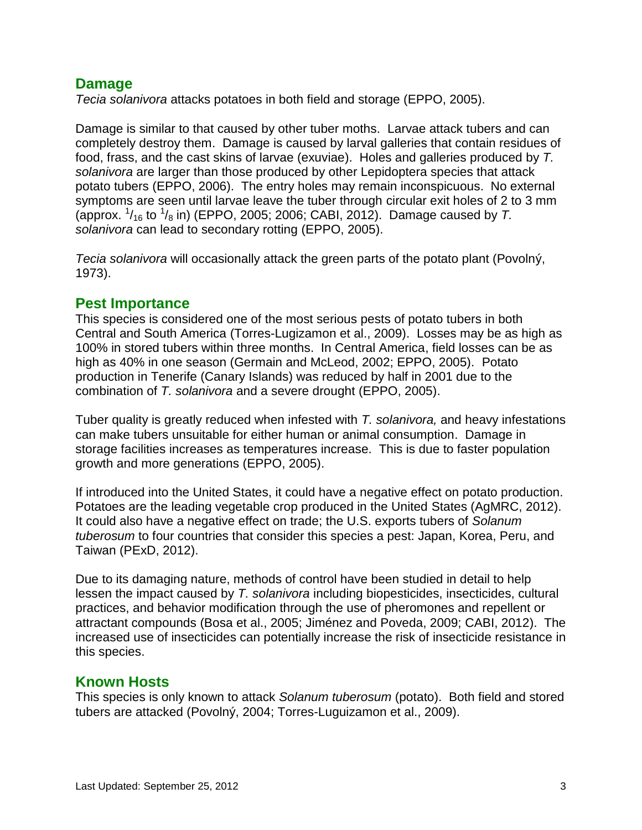## **Damage**

*Tecia solanivora* attacks potatoes in both field and storage (EPPO, 2005).

Damage is similar to that caused by other tuber moths. Larvae attack tubers and can completely destroy them. Damage is caused by larval galleries that contain residues of food, frass, and the cast skins of larvae (exuviae). Holes and galleries produced by *T. solanivora* are larger than those produced by other Lepidoptera species that attack potato tubers (EPPO, 2006). The entry holes may remain inconspicuous. No external symptoms are seen until larvae leave the tuber through circular exit holes of 2 to 3 mm (approx.  $\frac{1}{16}$  to  $\frac{1}{8}$  in) (EPPO, 2005; 2006; CABI, 2012). Damage caused by T. *solanivora* can lead to secondary rotting (EPPO, 2005).

*Tecia solanivora* will occasionally attack the green parts of the potato plant (Povolný, 1973).

## **Pest Importance**

This species is considered one of the most serious pests of potato tubers in both Central and South America (Torres-Lugizamon et al., 2009). Losses may be as high as 100% in stored tubers within three months. In Central America, field losses can be as high as 40% in one season (Germain and McLeod, 2002; EPPO, 2005). Potato production in Tenerife (Canary Islands) was reduced by half in 2001 due to the combination of *T. solanivora* and a severe drought (EPPO, 2005).

Tuber quality is greatly reduced when infested with *T. solanivora,* and heavy infestations can make tubers unsuitable for either human or animal consumption. Damage in storage facilities increases as temperatures increase. This is due to faster population growth and more generations (EPPO, 2005).

If introduced into the United States, it could have a negative effect on potato production. Potatoes are the leading vegetable crop produced in the United States (AgMRC, 2012). It could also have a negative effect on trade; the U.S. exports tubers of *Solanum tuberosum* to four countries that consider this species a pest: Japan, Korea, Peru, and Taiwan (PExD, 2012).

Due to its damaging nature, methods of control have been studied in detail to help lessen the impact caused by *T. solanivora* including biopesticides, insecticides, cultural practices, and behavior modification through the use of pheromones and repellent or attractant compounds (Bosa et al., 2005; Jiménez and Poveda, 2009; CABI, 2012). The increased use of insecticides can potentially increase the risk of insecticide resistance in this species.

## **Known Hosts**

This species is only known to attack *Solanum tuberosum* (potato). Both field and stored tubers are attacked (Povolný, 2004; Torres-Luguizamon et al., 2009).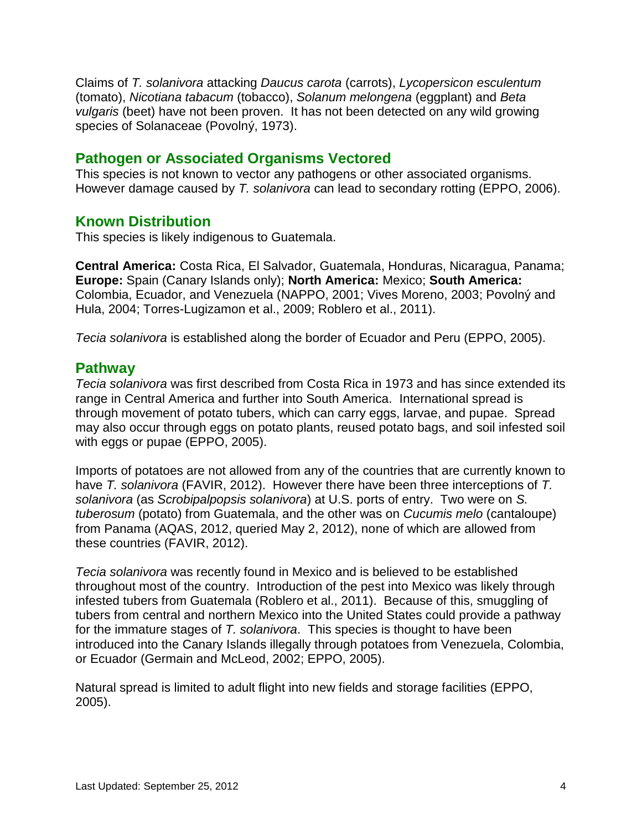Claims of *T. solanivora* attacking *Daucus carota* (carrots), *Lycopersicon esculentum* (tomato), *Nicotiana tabacum* (tobacco), *Solanum melongena* (eggplant) and *Beta vulgaris* (beet) have not been proven. It has not been detected on any wild growing species of Solanaceae (Povolný, 1973).

### **Pathogen or Associated Organisms Vectored**

This species is not known to vector any pathogens or other associated organisms. However damage caused by *T. solanivora* can lead to secondary rotting (EPPO, 2006).

#### **Known Distribution**

This species is likely indigenous to Guatemala.

**Central America:** Costa Rica, El Salvador, Guatemala, Honduras, Nicaragua, Panama; **Europe:** Spain (Canary Islands only); **North America:** Mexico; **South America:** Colombia, Ecuador, and Venezuela (NAPPO, 2001; Vives Moreno, 2003; Povolný and Hula, 2004; Torres-Lugizamon et al., 2009; Roblero et al., 2011).

*Tecia solanivora* is established along the border of Ecuador and Peru (EPPO, 2005).

## **Pathway**

*Tecia solanivora* was first described from Costa Rica in 1973 and has since extended its range in Central America and further into South America. International spread is through movement of potato tubers, which can carry eggs, larvae, and pupae. Spread may also occur through eggs on potato plants, reused potato bags, and soil infested soil with eggs or pupae (EPPO, 2005).

Imports of potatoes are not allowed from any of the countries that are currently known to have *T. solanivora* (FAVIR, 2012). However there have been three interceptions of *T. solanivora* (as *Scrobipalpopsis solanivora*) at U.S. ports of entry. Two were on *S. tuberosum* (potato) from Guatemala, and the other was on *Cucumis melo* (cantaloupe) from Panama (AQAS, 2012, queried May 2, 2012), none of which are allowed from these countries (FAVIR, 2012).

*Tecia solanivora* was recently found in Mexico and is believed to be established throughout most of the country. Introduction of the pest into Mexico was likely through infested tubers from Guatemala (Roblero et al., 2011). Because of this, smuggling of tubers from central and northern Mexico into the United States could provide a pathway for the immature stages of *T. solanivora*. This species is thought to have been introduced into the Canary Islands illegally through potatoes from Venezuela, Colombia, or Ecuador (Germain and McLeod, 2002; EPPO, 2005).

Natural spread is limited to adult flight into new fields and storage facilities (EPPO, 2005).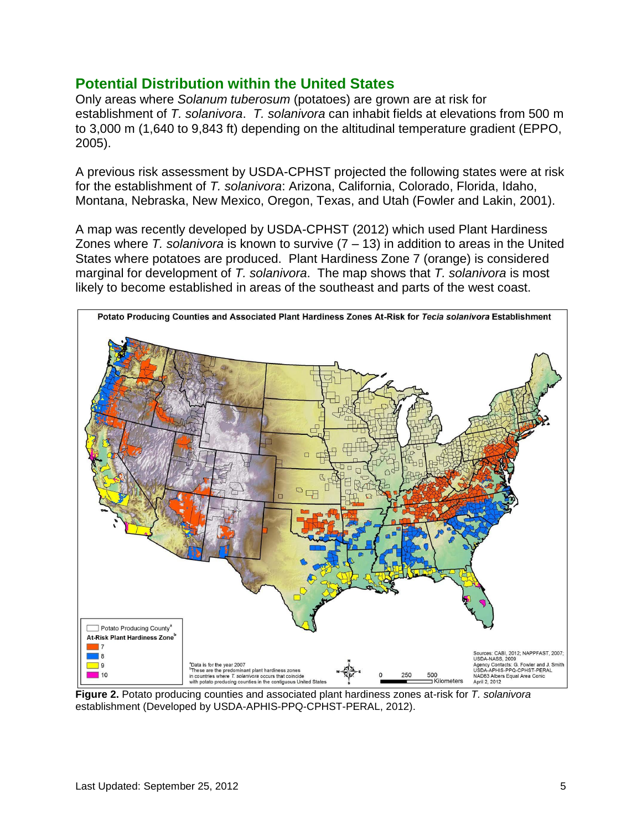### **Potential Distribution within the United States**

Only areas where *Solanum tuberosum* (potatoes) are grown are at risk for establishment of *T. solanivora*. *T. solanivora* can inhabit fields at elevations from 500 m to 3,000 m (1,640 to 9,843 ft) depending on the altitudinal temperature gradient (EPPO, 2005).

A previous risk assessment by USDA-CPHST projected the following states were at risk for the establishment of *T. solanivora*: Arizona, California, Colorado, Florida, Idaho, Montana, Nebraska, New Mexico, Oregon, Texas, and Utah (Fowler and Lakin, 2001).

A map was recently developed by USDA-CPHST (2012) which used Plant Hardiness Zones where *T. solanivora* is known to survive (7 – 13) in addition to areas in the United States where potatoes are produced. Plant Hardiness Zone 7 (orange) is considered marginal for development of *T. solanivora*. The map shows that *T. solanivora* is most likely to become established in areas of the southeast and parts of the west coast.



**Figure 2.** Potato producing counties and associated plant hardiness zones at-risk for *T. solanivora* establishment (Developed by USDA-APHIS-PPQ-CPHST-PERAL, 2012).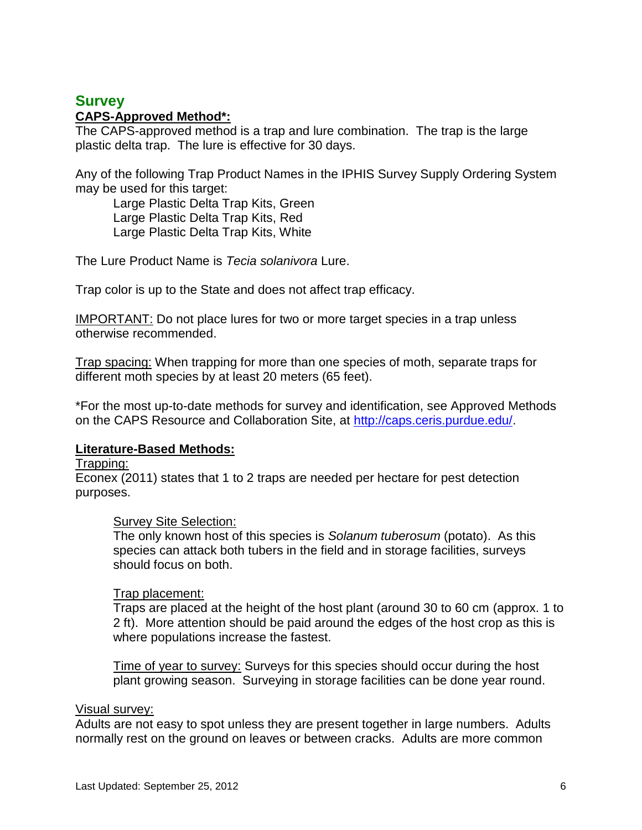#### **Survey CAPS-Approved Method\*:**

The CAPS-approved method is a trap and lure combination. The trap is the large plastic delta trap. The lure is effective for 30 days.

Any of the following Trap Product Names in the IPHIS Survey Supply Ordering System may be used for this target:

Large Plastic Delta Trap Kits, Green Large Plastic Delta Trap Kits, Red Large Plastic Delta Trap Kits, White

The Lure Product Name is *Tecia solanivora* Lure.

Trap color is up to the State and does not affect trap efficacy.

IMPORTANT: Do not place lures for two or more target species in a trap unless otherwise recommended.

Trap spacing: When trapping for more than one species of moth, separate traps for different moth species by at least 20 meters (65 feet).

\*For the most up-to-date methods for survey and identification, see Approved Methods on the CAPS Resource and Collaboration Site, at http://caps.ceris.purdue.edu/.

#### **Literature-Based Methods:**

#### Trapping:

Econex (2011) states that 1 to 2 traps are needed per hectare for pest detection purposes.

#### Survey Site Selection:

The only known host of this species is *Solanum tuberosum* (potato). As this species can attack both tubers in the field and in storage facilities, surveys should focus on both.

#### Trap placement:

Traps are placed at the height of the host plant (around 30 to 60 cm (approx. 1 to 2 ft). More attention should be paid around the edges of the host crop as this is where populations increase the fastest.

Time of year to survey: Surveys for this species should occur during the host plant growing season. Surveying in storage facilities can be done year round.

#### Visual survey:

Adults are not easy to spot unless they are present together in large numbers. Adults normally rest on the ground on leaves or between cracks. Adults are more common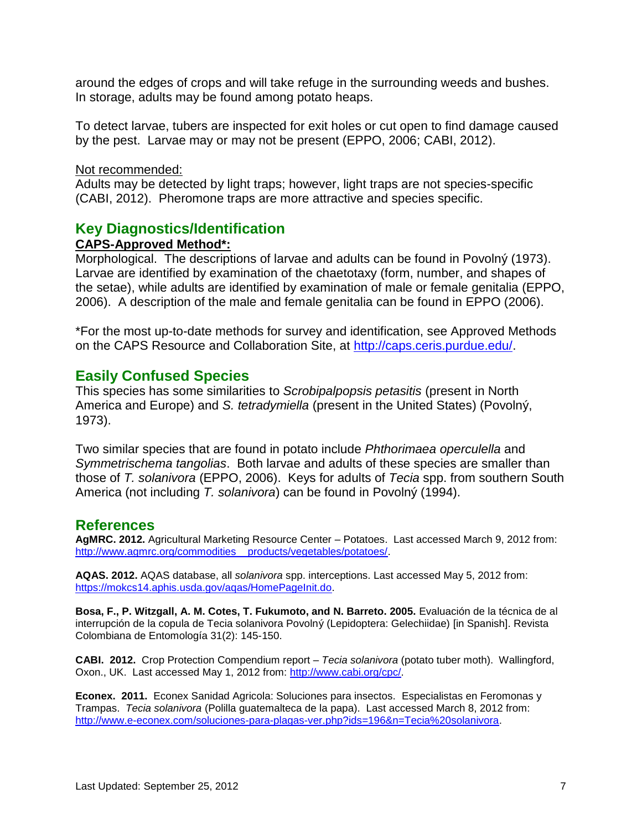around the edges of crops and will take refuge in the surrounding weeds and bushes. In storage, adults may be found among potato heaps.

To detect larvae, tubers are inspected for exit holes or cut open to find damage caused by the pest. Larvae may or may not be present (EPPO, 2006; CABI, 2012).

#### Not recommended:

Adults may be detected by light traps; however, light traps are not species-specific (CABI, 2012). Pheromone traps are more attractive and species specific.

#### **Key Diagnostics/Identification**

#### **CAPS-Approved Method\*:**

Morphological. The descriptions of larvae and adults can be found in Povolný (1973). Larvae are identified by examination of the chaetotaxy (form, number, and shapes of the setae), while adults are identified by examination of male or female genitalia (EPPO, 2006). A description of the male and female genitalia can be found in EPPO (2006).

\*For the most up-to-date methods for survey and identification, see Approved Methods on the CAPS Resource and Collaboration Site, at http://caps.ceris.purdue.edu/.

#### **Easily Confused Species**

This species has some similarities to *Scrobipalpopsis petasitis* (present in North America and Europe) and *S. tetradymiella* (present in the United States) (Povolný, 1973).

Two similar species that are found in potato include *Phthorimaea operculella* and *Symmetrischema tangolias*. Both larvae and adults of these species are smaller than those of *T. solanivora* (EPPO, 2006). Keys for adults of *Tecia* spp. from southern South America (not including *T. solanivora*) can be found in Povolný (1994).

#### **References**

**AgMRC. 2012.** Agricultural Marketing Resource Center – Potatoes. Last accessed March 9, 2012 from: [http://www.agmrc.org/commodities\\_\\_products/vegetables/potatoes/.](http://www.agmrc.org/commodities__products/vegetables/potatoes/)

**AQAS. 2012.** AQAS database, all *solanivora* spp. interceptions. Last accessed May 5, 2012 from: [https://mokcs14.aphis.usda.gov/aqas/HomePageInit.do.](https://mokcs14.aphis.usda.gov/aqas/HomePageInit.do)

**Bosa, F., P. Witzgall, A. M. Cotes, T. Fukumoto, and N. Barreto. 2005.** Evaluación de la técnica de al interrupción de la copula de Tecia solanivora Povolný (Lepidoptera: Gelechiidae) [in Spanish]. Revista Colombiana de Entomología 31(2): 145-150.

**CABI. 2012.** Crop Protection Compendium report – *Tecia solanivora* (potato tuber moth). Wallingford, Oxon., UK. Last accessed May 1, 2012 from: [http://www.cabi.org/cpc/.](http://www.cabi.org/cpc/)

**Econex. 2011.** Econex Sanidad Agricola: Soluciones para insectos. Especialistas en Feromonas y Trampas. *Tecia solanivora* (Polilla guatemalteca de la papa). Last accessed March 8, 2012 from: [http://www.e-econex.com/soluciones-para-plagas-ver.php?ids=196&n=Tecia%20solanivora.](http://www.e-econex.com/soluciones-para-plagas-ver.php?ids=196&n=Tecia%20solanivora)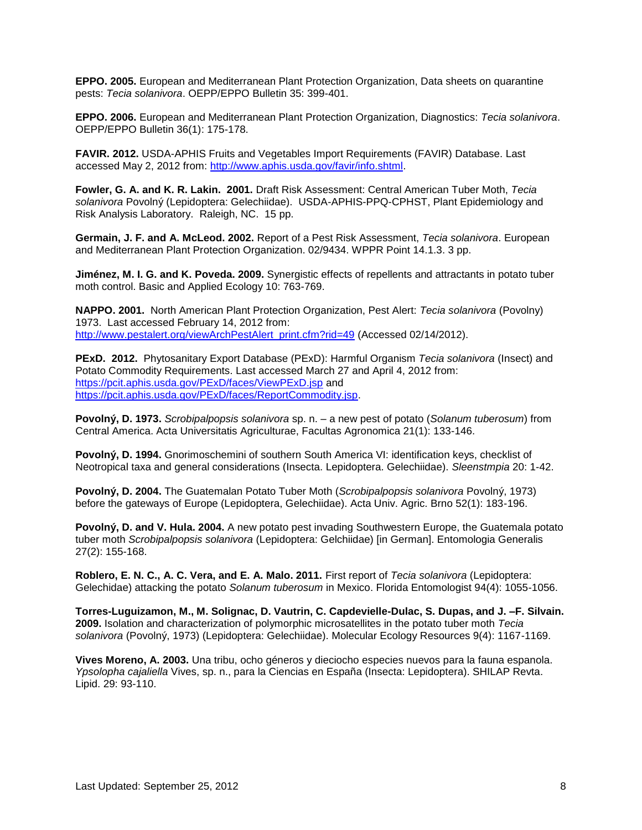**EPPO. 2005.** European and Mediterranean Plant Protection Organization, Data sheets on quarantine pests: *Tecia solanivora*. OEPP/EPPO Bulletin 35: 399-401.

**EPPO. 2006.** European and Mediterranean Plant Protection Organization, Diagnostics: *Tecia solanivora*. OEPP/EPPO Bulletin 36(1): 175-178.

**FAVIR. 2012.** USDA-APHIS Fruits and Vegetables Import Requirements (FAVIR) Database. Last accessed May 2, 2012 from: [http://www.aphis.usda.gov/favir/info.shtml.](http://www.aphis.usda.gov/favir/info.shtml)

**Fowler, G. A. and K. R. Lakin. 2001.** Draft Risk Assessment: Central American Tuber Moth, *Tecia solanivora* Povolný (Lepidoptera: Gelechiidae). USDA-APHIS-PPQ-CPHST, Plant Epidemiology and Risk Analysis Laboratory. Raleigh, NC. 15 pp.

**Germain, J. F. and A. McLeod. 2002.** Report of a Pest Risk Assessment, *Tecia solanivora*. European and Mediterranean Plant Protection Organization. 02/9434. WPPR Point 14.1.3. 3 pp.

**Jiménez, M. I. G. and K. Poveda. 2009.** Synergistic effects of repellents and attractants in potato tuber moth control. Basic and Applied Ecology 10: 763-769.

**NAPPO. 2001.** North American Plant Protection Organization, Pest Alert: *Tecia solanivora* (Povolny) 1973. Last accessed February 14, 2012 from: [http://www.pestalert.org/viewArchPestAlert\\_print.cfm?rid=49](http://www.pestalert.org/viewArchPestAlert_print.cfm?rid=49) (Accessed 02/14/2012).

**PExD. 2012.** Phytosanitary Export Database (PExD): Harmful Organism *Tecia solanivora* (Insect) and Potato Commodity Requirements. Last accessed March 27 and April 4, 2012 from: <https://pcit.aphis.usda.gov/PExD/faces/ViewPExD.jsp> and [https://pcit.aphis.usda.gov/PExD/faces/ReportCommodity.jsp.](https://pcit.aphis.usda.gov/PExD/faces/ReportCommodity.jsp)

**Povolný, D. 1973.** *Scrobipalpopsis solanivora* sp. n. – a new pest of potato (*Solanum tuberosum*) from Central America. Acta Universitatis Agriculturae, Facultas Agronomica 21(1): 133-146.

**Povolný, D. 1994.** Gnorimoschemini of southern South America VI: identification keys, checklist of Neotropical taxa and general considerations (Insecta. Lepidoptera. Gelechiidae). *Sleenstmpia* 20: 1-42.

**Povolný, D. 2004.** The Guatemalan Potato Tuber Moth (*Scrobipalpopsis solanivora* Povolný, 1973) before the gateways of Europe (Lepidoptera, Gelechiidae). Acta Univ. Agric. Brno 52(1): 183-196.

**Povolný, D. and V. Hula. 2004.** A new potato pest invading Southwestern Europe, the Guatemala potato tuber moth *Scrobipalpopsis solanivora* (Lepidoptera: Gelchiidae) [in German]. Entomologia Generalis 27(2): 155-168.

**Roblero, E. N. C., A. C. Vera, and E. A. Malo. 2011.** First report of *Tecia solanivora* (Lepidoptera: Gelechidae) attacking the potato *Solanum tuberosum* in Mexico. Florida Entomologist 94(4): 1055-1056.

**Torres-Luguizamon, M., M. Solignac, D. Vautrin, C. Capdevielle-Dulac, S. Dupas, and J. –F. Silvain. 2009.** Isolation and characterization of polymorphic microsatellites in the potato tuber moth *Tecia solanivora* (Povolný, 1973) (Lepidoptera: Gelechiidae). Molecular Ecology Resources 9(4): 1167-1169.

**Vives Moreno, A. 2003.** Una tribu, ocho géneros y dieciocho especies nuevos para la fauna espanola. *Ypsolopha cajaliella* Vives, sp. n., para la Ciencias en España (Insecta: Lepidoptera). SHILAP Revta. Lipid. 29: 93-110.